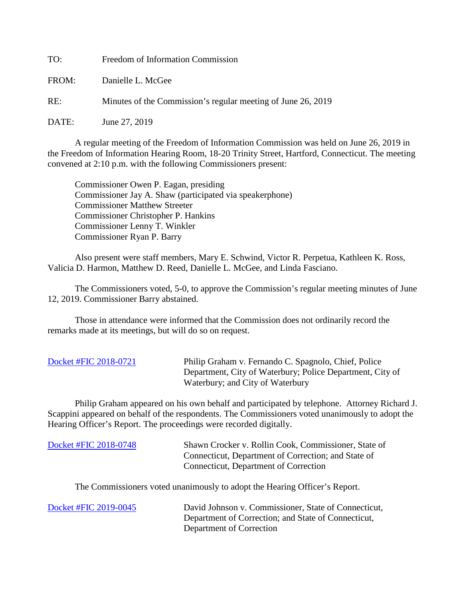TO: Freedom of Information Commission FROM: Danielle L. McGee RE: Minutes of the Commission's regular meeting of June 26, 2019

DATE: June 27, 2019

A regular meeting of the Freedom of Information Commission was held on June 26, 2019 in the Freedom of Information Hearing Room, 18-20 Trinity Street, Hartford, Connecticut. The meeting convened at 2:10 p.m. with the following Commissioners present:

 Commissioner Owen P. Eagan, presiding Commissioner Jay A. Shaw (participated via speakerphone) Commissioner Matthew Streeter Commissioner Christopher P. Hankins Commissioner Lenny T. Winkler Commissioner Ryan P. Barry

 Also present were staff members, Mary E. Schwind, Victor R. Perpetua, Kathleen K. Ross, Valicia D. Harmon, Matthew D. Reed, Danielle L. McGee, and Linda Fasciano.

The Commissioners voted, 5-0, to approve the Commission's regular meeting minutes of June 12, 2019. Commissioner Barry abstained.

 Those in attendance were informed that the Commission does not ordinarily record the remarks made at its meetings, but will do so on request.

| Docket #FIC 2018-0721 | Philip Graham v. Fernando C. Spagnolo, Chief, Police      |
|-----------------------|-----------------------------------------------------------|
|                       | Department, City of Waterbury; Police Department, City of |
|                       | Waterbury; and City of Waterbury                          |

Philip Graham appeared on his own behalf and participated by telephone. Attorney Richard J. Scappini appeared on behalf of the respondents. The Commissioners voted unanimously to adopt the Hearing Officer's Report. The proceedings were recorded digitally.

| Docket #FIC 2018-0748 | Shawn Crocker v. Rollin Cook, Commissioner, State of<br>Connecticut, Department of Correction; and State of<br>Connecticut, Department of Correction |
|-----------------------|------------------------------------------------------------------------------------------------------------------------------------------------------|
|                       | The Commissioners voted unanimously to adopt the Hearing Officer's Report.                                                                           |

[Docket #FIC 2019-0045](https://portal.ct.gov/-/media/FOI/Minutes/2019/June26/2019-0045.pdf?la=en) David Johnson v. Commissioner, State of Connecticut, Department of Correction; and State of Connecticut, Department of Correction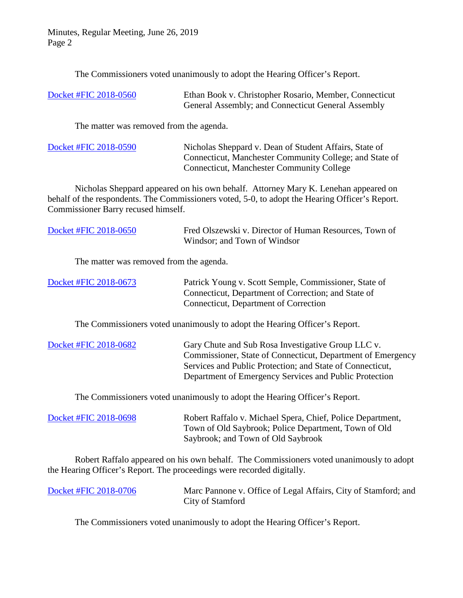Minutes, Regular Meeting, June 26, 2019 Page 2

The Commissioners voted unanimously to adopt the Hearing Officer's Report.

| Docket #FIC 2018-0560 | Ethan Book v. Christopher Rosario, Member, Connecticut |
|-----------------------|--------------------------------------------------------|
|                       | General Assembly; and Connecticut General Assembly     |

The matter was removed from the agenda.

[Docket #FIC 2018-0590](https://portal.ct.gov/-/media/FOI/Minutes/2019/June26/2018-0590.pdf?la=en) Nicholas Sheppard v. Dean of Student Affairs, State of Connecticut, Manchester Community College; and State of Connecticut, Manchester Community College

Nicholas Sheppard appeared on his own behalf. Attorney Mary K. Lenehan appeared on behalf of the respondents. The Commissioners voted, 5-0, to adopt the Hearing Officer's Report. Commissioner Barry recused himself.

| Docket #FIC 2018-0650                   | Fred Olszewski v. Director of Human Resources, Town of<br>Windsor; and Town of Windsor                                                                                                                                                   |
|-----------------------------------------|------------------------------------------------------------------------------------------------------------------------------------------------------------------------------------------------------------------------------------------|
| The matter was removed from the agenda. |                                                                                                                                                                                                                                          |
| Docket #FIC 2018-0673                   | Patrick Young v. Scott Semple, Commissioner, State of<br>Connecticut, Department of Correction; and State of<br>Connecticut, Department of Correction                                                                                    |
|                                         | The Commissioners voted unanimously to adopt the Hearing Officer's Report.                                                                                                                                                               |
| Docket #FIC 2018-0682                   | Gary Chute and Sub Rosa Investigative Group LLC v.<br>Commissioner, State of Connecticut, Department of Emergency<br>Services and Public Protection; and State of Connecticut,<br>Department of Emergency Services and Public Protection |

The Commissioners voted unanimously to adopt the Hearing Officer's Report.

[Docket #FIC 2018-0698](https://portal.ct.gov/-/media/FOI/Minutes/2019/June26/2018-0698.pdf?la=en) Robert Raffalo v. Michael Spera, Chief, Police Department, Town of Old Saybrook; Police Department, Town of Old Saybrook; and Town of Old Saybrook

Robert Raffalo appeared on his own behalf. The Commissioners voted unanimously to adopt the Hearing Officer's Report. The proceedings were recorded digitally.

[Docket #FIC 2018-0706](https://portal.ct.gov/-/media/FOI/Minutes/2019/June26/2018-006.pdf?la=en) Marc Pannone v. Office of Legal Affairs, City of Stamford; and City of Stamford

The Commissioners voted unanimously to adopt the Hearing Officer's Report.